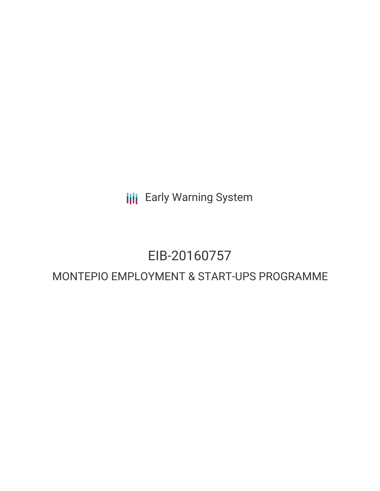**III** Early Warning System

# EIB-20160757

# MONTEPIO EMPLOYMENT & START-UPS PROGRAMME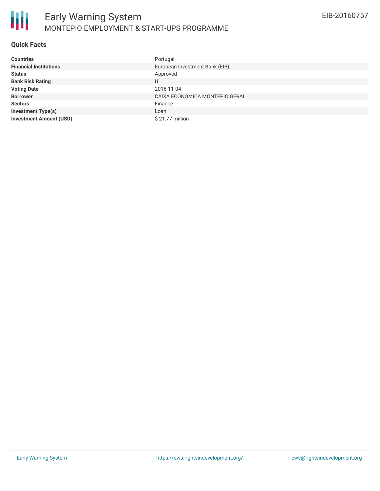

#### **Quick Facts**

| <b>Countries</b>               | Portugal                       |
|--------------------------------|--------------------------------|
| <b>Financial Institutions</b>  | European Investment Bank (EIB) |
| <b>Status</b>                  | Approved                       |
| <b>Bank Risk Rating</b>        | U                              |
| <b>Voting Date</b>             | 2016-11-04                     |
| <b>Borrower</b>                | CAIXA ECONOMICA MONTEPIO GERAL |
| <b>Sectors</b>                 | Finance                        |
| <b>Investment Type(s)</b>      | Loan                           |
| <b>Investment Amount (USD)</b> | $$21.77$ million               |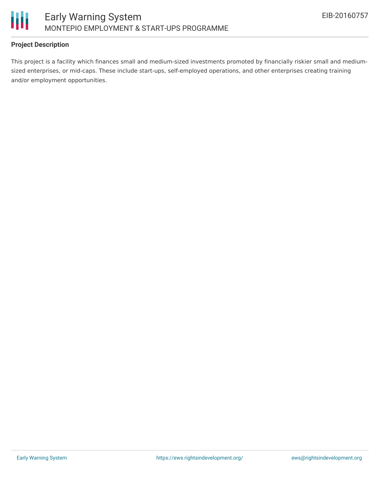

## **Project Description**

This project is a facility which finances small and medium-sized investments promoted by financially riskier small and mediumsized enterprises, or mid-caps. These include start-ups, self-employed operations, and other enterprises creating training and/or employment opportunities.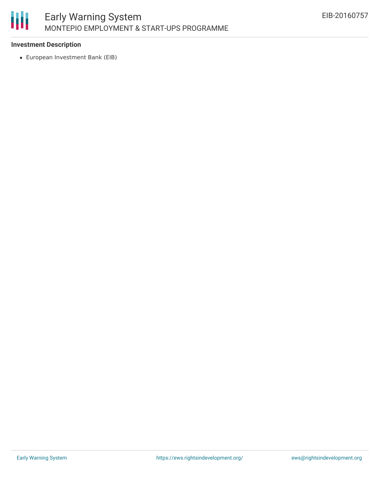

## **Investment Description**

European Investment Bank (EIB)